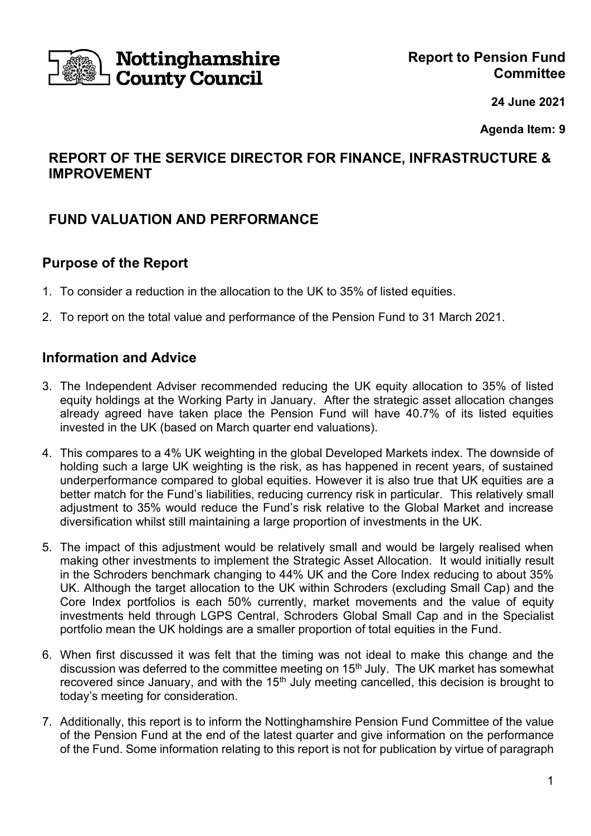

# **Nottinghamshire**<br>I County Council

**24 June 2021**

**Agenda Item: 9**

# **REPORT OF THE SERVICE DIRECTOR FOR FINANCE, INFRASTRUCTURE & IMPROVEMENT**

# **FUND VALUATION AND PERFORMANCE**

## **Purpose of the Report**

- 1. To consider a reduction in the allocation to the UK to 35% of listed equities.
- 2. To report on the total value and performance of the Pension Fund to 31 March 2021.

## **Information and Advice**

- 3. The Independent Adviser recommended reducing the UK equity allocation to 35% of listed equity holdings at the Working Party in January. After the strategic asset allocation changes already agreed have taken place the Pension Fund will have 40.7% of its listed equities invested in the UK (based on March quarter end valuations).
- 4. This compares to a 4% UK weighting in the global Developed Markets index. The downside of holding such a large UK weighting is the risk, as has happened in recent years, of sustained underperformance compared to global equities. However it is also true that UK equities are a better match for the Fund's liabilities, reducing currency risk in particular. This relatively small adjustment to 35% would reduce the Fund's risk relative to the Global Market and increase diversification whilst still maintaining a large proportion of investments in the UK.
- 5. The impact of this adjustment would be relatively small and would be largely realised when making other investments to implement the Strategic Asset Allocation. It would initially result in the Schroders benchmark changing to 44% UK and the Core Index reducing to about 35% UK. Although the target allocation to the UK within Schroders (excluding Small Cap) and the Core Index portfolios is each 50% currently, market movements and the value of equity investments held through LGPS Central, Schroders Global Small Cap and in the Specialist portfolio mean the UK holdings are a smaller proportion of total equities in the Fund.
- 6. When first discussed it was felt that the timing was not ideal to make this change and the discussion was deferred to the committee meeting on 15<sup>th</sup> July. The UK market has somewhat recovered since January, and with the  $15<sup>th</sup>$  July meeting cancelled, this decision is brought to today's meeting for consideration.
- 7. Additionally, this report is to inform the Nottinghamshire Pension Fund Committee of the value of the Pension Fund at the end of the latest quarter and give information on the performance of the Fund. Some information relating to this report is not for publication by virtue of paragraph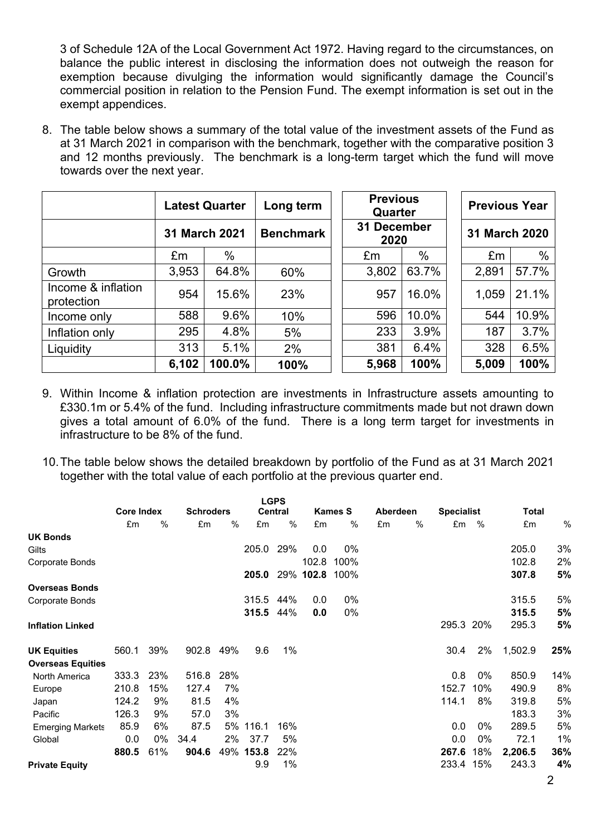3 of Schedule 12A of the Local Government Act 1972. Having regard to the circumstances, on balance the public interest in disclosing the information does not outweigh the reason for exemption because divulging the information would significantly damage the Council's commercial position in relation to the Pension Fund. The exempt information is set out in the exempt appendices.

8. The table below shows a summary of the total value of the investment assets of the Fund as at 31 March 2021 in comparison with the benchmark, together with the comparative position 3 and 12 months previously. The benchmark is a long-term target which the fund will move towards over the next year.

|                                  | <b>Latest Quarter</b> |        | Long term        |  | <b>Previous</b><br>Quarter |       |  | <b>Previous Year</b> |       |  |
|----------------------------------|-----------------------|--------|------------------|--|----------------------------|-------|--|----------------------|-------|--|
|                                  | 31 March 2021         |        | <b>Benchmark</b> |  | 31 December<br>2020        |       |  | 31 March 2020        |       |  |
|                                  | £m                    | %      |                  |  | £m                         | $\%$  |  | £m                   | %     |  |
| Growth                           | 3,953                 | 64.8%  | 60%              |  | 3,802                      | 63.7% |  | 2,891                | 57.7% |  |
| Income & inflation<br>protection | 954                   | 15.6%  | 23%              |  | 957                        | 16.0% |  | 1,059                | 21.1% |  |
| Income only                      | 588                   | 9.6%   | 10%              |  | 596                        | 10.0% |  | 544                  | 10.9% |  |
| Inflation only                   | 295                   | 4.8%   | 5%               |  | 233                        | 3.9%  |  | 187                  | 3.7%  |  |
| Liquidity                        | 313                   | 5.1%   | 2%               |  | 381                        | 6.4%  |  | 328                  | 6.5%  |  |
|                                  | 6,102                 | 100.0% | 100%             |  | 5,968                      | 100%  |  | 5,009                | 100%  |  |

- 9. Within Income & inflation protection are investments in Infrastructure assets amounting to £330.1m or 5.4% of the fund. Including infrastructure commitments made but not drawn down gives a total amount of 6.0% of the fund. There is a long term target for investments in infrastructure to be 8% of the fund.
- 10.The table below shows the detailed breakdown by portfolio of the Fund as at 31 March 2021 together with the total value of each portfolio at the previous quarter end.

|                          |                   |     |                  |     |       | <b>LGPS</b>    |           |                |          |   |                   |     |              |     |
|--------------------------|-------------------|-----|------------------|-----|-------|----------------|-----------|----------------|----------|---|-------------------|-----|--------------|-----|
|                          | <b>Core Index</b> |     | <b>Schroders</b> |     |       | <b>Central</b> |           | <b>Kames S</b> | Aberdeen |   | <b>Specialist</b> |     | <b>Total</b> |     |
|                          | £m                | %   | £m               | %   | £m    | $\%$           | £m        | %              | £m       | % | £m                | %   | £m           | %   |
| <b>UK Bonds</b>          |                   |     |                  |     |       |                |           |                |          |   |                   |     |              |     |
| Gilts                    |                   |     |                  |     | 205.0 | 29%            | 0.0       | 0%             |          |   |                   |     | 205.0        | 3%  |
| Corporate Bonds          |                   |     |                  |     |       |                | 102.8     | 100%           |          |   |                   |     | 102.8        | 2%  |
|                          |                   |     |                  |     | 205.0 |                | 29% 102.8 | 100%           |          |   |                   |     | 307.8        | 5%  |
| <b>Overseas Bonds</b>    |                   |     |                  |     |       |                |           |                |          |   |                   |     |              |     |
| Corporate Bonds          |                   |     |                  |     | 315.5 | 44%            | 0.0       | 0%             |          |   |                   |     | 315.5        | 5%  |
|                          |                   |     |                  |     | 315.5 | 44%            | 0.0       | 0%             |          |   |                   |     | 315.5        | 5%  |
| <b>Inflation Linked</b>  |                   |     |                  |     |       |                |           |                |          |   | 295.3 20%         |     | 295.3        | 5%  |
| <b>UK Equities</b>       | 560.1             | 39% | 902.8            | 49% | 9.6   | 1%             |           |                |          |   | 30.4              | 2%  | 1,502.9      | 25% |
| <b>Overseas Equities</b> |                   |     |                  |     |       |                |           |                |          |   |                   |     |              |     |
| North America            | 333.3             | 23% | 516.8            | 28% |       |                |           |                |          |   | 0.8               | 0%  | 850.9        | 14% |
| Europe                   | 210.8             | 15% | 127.4            | 7%  |       |                |           |                |          |   | 152.7             | 10% | 490.9        | 8%  |
| Japan                    | 124.2             | 9%  | 81.5             | 4%  |       |                |           |                |          |   | 114.1             | 8%  | 319.8        | 5%  |
| Pacific                  | 126.3             | 9%  | 57.0             | 3%  |       |                |           |                |          |   |                   |     | 183.3        | 3%  |
| <b>Emerging Markets</b>  | 85.9              | 6%  | 87.5             | 5%  | 116.1 | 16%            |           |                |          |   | 0.0               | 0%  | 289.5        | 5%  |
| Global                   | 0.0               | 0%  | 34.4             | 2%  | 37.7  | 5%             |           |                |          |   | 0.0               | 0%  | 72.1         | 1%  |
|                          | 880.5             | 61% | 904.6            | 49% | 153.8 | 22%            |           |                |          |   | 267.6             | 18% | 2,206.5      | 36% |
| <b>Private Equity</b>    |                   |     |                  |     | 9.9   | 1%             |           |                |          |   | 233.4             | 15% | 243.3        | 4%  |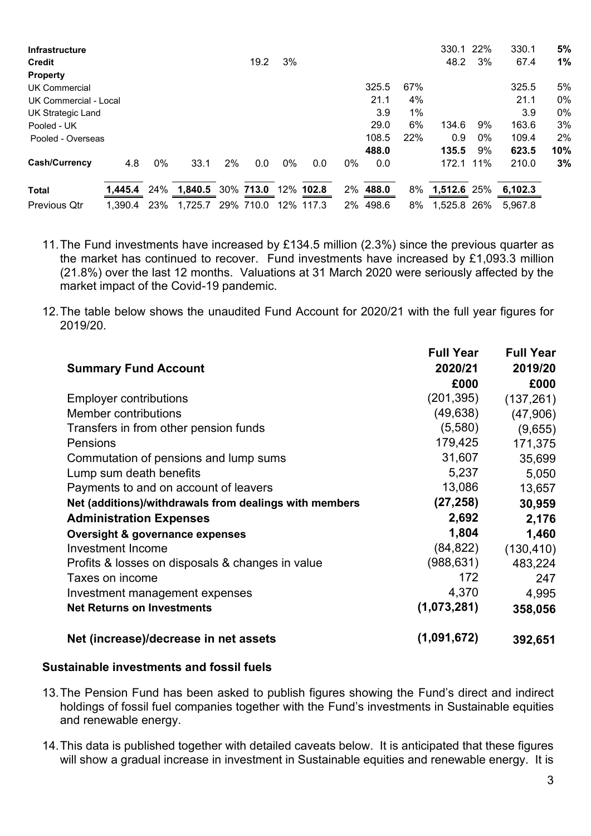| <b>Infrastructure</b> |         |     |         |    |           |     |           |    |       |     | 330.1       | 22% | 330.1   | 5%  |
|-----------------------|---------|-----|---------|----|-----------|-----|-----------|----|-------|-----|-------------|-----|---------|-----|
| <b>Credit</b>         |         |     |         |    | 19.2      | 3%  |           |    |       |     | 48.2        | 3%  | 67.4    | 1%  |
| <b>Property</b>       |         |     |         |    |           |     |           |    |       |     |             |     |         |     |
| UK Commercial         |         |     |         |    |           |     |           |    | 325.5 | 67% |             |     | 325.5   | 5%  |
| UK Commercial - Local |         |     |         |    |           |     |           |    | 21.1  | 4%  |             |     | 21.1    | 0%  |
| UK Strategic Land     |         |     |         |    |           |     |           |    | 3.9   | 1%  |             |     | 3.9     | 0%  |
| Pooled - UK           |         |     |         |    |           |     |           |    | 29.0  | 6%  | 134.6       | 9%  | 163.6   | 3%  |
| Pooled - Overseas     |         |     |         |    |           |     |           |    | 108.5 | 22% | 0.9         | 0%  | 109.4   | 2%  |
|                       |         |     |         |    |           |     |           |    | 488.0 |     | 135.5       | 9%  | 623.5   | 10% |
| Cash/Currency         | 4.8     | 0%  | 33.1    | 2% | 0.0       | 0%  | 0.0       | 0% | 0.0   |     | 172.1       | 11% | 210.0   | 3%  |
| <b>Total</b>          | 1,445.4 | 24% | 1,840.5 |    | 30% 713.0 | 12% | 102.8     | 2% | 488.0 | 8%  | 1,512.6 25% |     | 6,102.3 |     |
| <b>Previous Qtr</b>   | 1.390.4 | 23% | 1.725.7 |    | 29% 710.0 |     | 12% 117.3 | 2% | 498.6 | 8%  | 1,525.8 26% |     | 5,967.8 |     |

- 11.The Fund investments have increased by £134.5 million (2.3%) since the previous quarter as the market has continued to recover. Fund investments have increased by £1,093.3 million (21.8%) over the last 12 months. Valuations at 31 March 2020 were seriously affected by the market impact of the Covid-19 pandemic.
- 12.The table below shows the unaudited Fund Account for 2020/21 with the full year figures for 2019/20.

|                                                        | <b>Full Year</b> | <b>Full Year</b> |
|--------------------------------------------------------|------------------|------------------|
| <b>Summary Fund Account</b>                            | 2020/21          | 2019/20          |
|                                                        | £000             | £000             |
| <b>Employer contributions</b>                          | (201, 395)       | (137, 261)       |
| <b>Member contributions</b>                            | (49, 638)        | (47,906)         |
| Transfers in from other pension funds                  | (5,580)          | (9,655)          |
| Pensions                                               | 179,425          | 171,375          |
| Commutation of pensions and lump sums                  | 31,607           | 35,699           |
| Lump sum death benefits                                | 5,237            | 5,050            |
| Payments to and on account of leavers                  | 13,086           | 13,657           |
| Net (additions)/withdrawals from dealings with members | (27, 258)        | 30,959           |
| <b>Administration Expenses</b>                         | 2,692            | 2,176            |
| <b>Oversight &amp; governance expenses</b>             | 1,804            | 1,460            |
| <b>Investment Income</b>                               | (84, 822)        | (130, 410)       |
| Profits & losses on disposals & changes in value       | (988, 631)       | 483,224          |
| Taxes on income                                        | 172              | 247              |
| Investment management expenses                         | 4,370            | 4,995            |
| <b>Net Returns on Investments</b>                      | (1,073,281)      | 358,056          |
| Net (increase)/decrease in net assets                  | (1,091,672)      | 392,651          |

#### **Sustainable investments and fossil fuels**

- 13.The Pension Fund has been asked to publish figures showing the Fund's direct and indirect holdings of fossil fuel companies together with the Fund's investments in Sustainable equities and renewable energy.
- 14.This data is published together with detailed caveats below. It is anticipated that these figures will show a gradual increase in investment in Sustainable equities and renewable energy. It is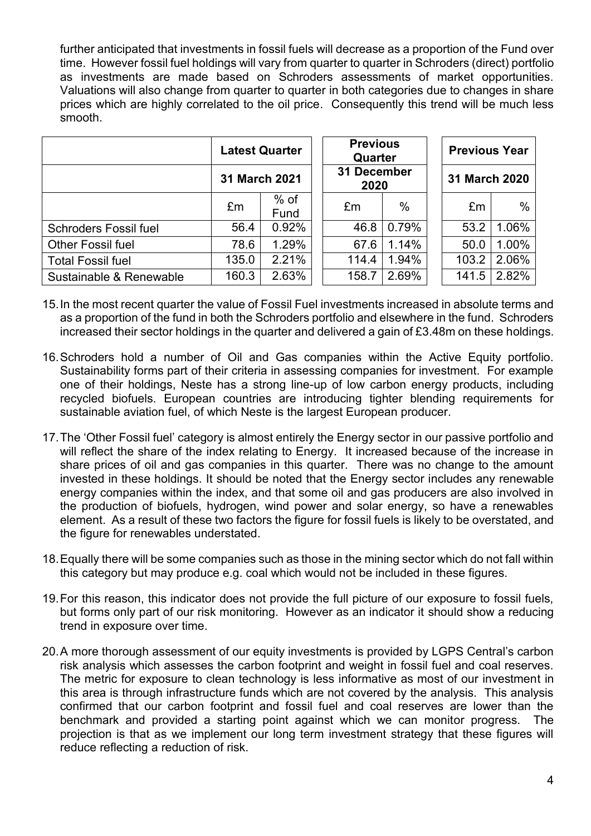further anticipated that investments in fossil fuels will decrease as a proportion of the Fund over time. However fossil fuel holdings will vary from quarter to quarter in Schroders (direct) portfolio as investments are made based on Schroders assessments of market opportunities. Valuations will also change from quarter to quarter in both categories due to changes in share prices which are highly correlated to the oil price. Consequently this trend will be much less smooth.

|                              | <b>Latest Quarter</b> |                |  | <b>Previous</b><br>Quarter |       |  | <b>Previous Year</b> |       |  |
|------------------------------|-----------------------|----------------|--|----------------------------|-------|--|----------------------|-------|--|
|                              | <b>31 March 2021</b>  |                |  | 31 December<br>2020        |       |  | 31 March 2020        |       |  |
|                              | £m                    | $%$ of<br>Fund |  | £m                         | $\%$  |  | £m                   | $\%$  |  |
| <b>Schroders Fossil fuel</b> | 56.4                  | 0.92%          |  | 46.8                       | 0.79% |  | 53.2                 | 1.06% |  |
| <b>Other Fossil fuel</b>     | 78.6                  | 1.29%          |  | 67.6                       | 1.14% |  | 50.0                 | 1.00% |  |
| <b>Total Fossil fuel</b>     | 135.0                 | 2.21%          |  | 114.4                      | 1.94% |  | 103.2                | 2.06% |  |
| Sustainable & Renewable      | 160.3                 | 2.63%          |  | 158.7                      | 2.69% |  | 141.5                | 2.82% |  |

- 15.In the most recent quarter the value of Fossil Fuel investments increased in absolute terms and as a proportion of the fund in both the Schroders portfolio and elsewhere in the fund. Schroders increased their sector holdings in the quarter and delivered a gain of £3.48m on these holdings.
- 16.Schroders hold a number of Oil and Gas companies within the Active Equity portfolio. Sustainability forms part of their criteria in assessing companies for investment. For example one of their holdings, Neste has a strong line-up of low carbon energy products, including recycled biofuels. European countries are introducing tighter blending requirements for sustainable aviation fuel, of which Neste is the largest European producer.
- 17.The 'Other Fossil fuel' category is almost entirely the Energy sector in our passive portfolio and will reflect the share of the index relating to Energy. It increased because of the increase in share prices of oil and gas companies in this quarter. There was no change to the amount invested in these holdings. It should be noted that the Energy sector includes any renewable energy companies within the index, and that some oil and gas producers are also involved in the production of biofuels, hydrogen, wind power and solar energy, so have a renewables element. As a result of these two factors the figure for fossil fuels is likely to be overstated, and the figure for renewables understated.
- 18.Equally there will be some companies such as those in the mining sector which do not fall within this category but may produce e.g. coal which would not be included in these figures.
- 19.For this reason, this indicator does not provide the full picture of our exposure to fossil fuels, but forms only part of our risk monitoring. However as an indicator it should show a reducing trend in exposure over time.
- 20.A more thorough assessment of our equity investments is provided by LGPS Central's carbon risk analysis which assesses the carbon footprint and weight in fossil fuel and coal reserves. The metric for exposure to clean technology is less informative as most of our investment in this area is through infrastructure funds which are not covered by the analysis. This analysis confirmed that our carbon footprint and fossil fuel and coal reserves are lower than the benchmark and provided a starting point against which we can monitor progress. The projection is that as we implement our long term investment strategy that these figures will reduce reflecting a reduction of risk.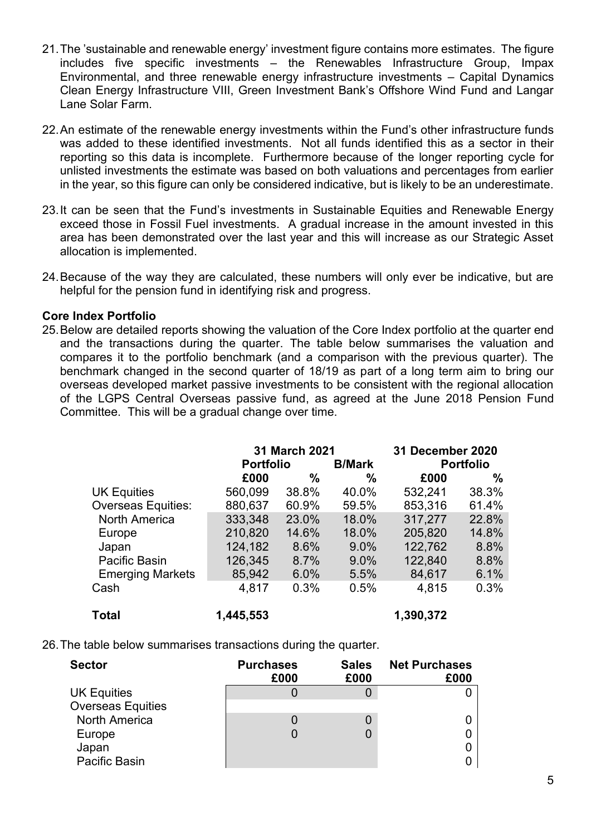- 21.The 'sustainable and renewable energy' investment figure contains more estimates. The figure includes five specific investments – the Renewables Infrastructure Group, Impax Environmental, and three renewable energy infrastructure investments – Capital Dynamics Clean Energy Infrastructure VIII, Green Investment Bank's Offshore Wind Fund and Langar Lane Solar Farm.
- 22.An estimate of the renewable energy investments within the Fund's other infrastructure funds was added to these identified investments. Not all funds identified this as a sector in their reporting so this data is incomplete. Furthermore because of the longer reporting cycle for unlisted investments the estimate was based on both valuations and percentages from earlier in the year, so this figure can only be considered indicative, but is likely to be an underestimate.
- 23.It can be seen that the Fund's investments in Sustainable Equities and Renewable Energy exceed those in Fossil Fuel investments. A gradual increase in the amount invested in this area has been demonstrated over the last year and this will increase as our Strategic Asset allocation is implemented.
- 24.Because of the way they are calculated, these numbers will only ever be indicative, but are helpful for the pension fund in identifying risk and progress.

#### **Core Index Portfolio**

25.Below are detailed reports showing the valuation of the Core Index portfolio at the quarter end and the transactions during the quarter. The table below summarises the valuation and compares it to the portfolio benchmark (and a comparison with the previous quarter). The benchmark changed in the second quarter of 18/19 as part of a long term aim to bring our overseas developed market passive investments to be consistent with the regional allocation of the LGPS Central Overseas passive fund, as agreed at the June 2018 Pension Fund Committee. This will be a gradual change over time.

|                           |                  | 31 March 2021 | 31 December 2020 |           |                  |
|---------------------------|------------------|---------------|------------------|-----------|------------------|
|                           | <b>Portfolio</b> |               | <b>B/Mark</b>    |           | <b>Portfolio</b> |
|                           | £000             | %             | %                | £000      | %                |
| <b>UK Equities</b>        | 560,099          | 38.8%         | 40.0%            | 532,241   | 38.3%            |
| <b>Overseas Equities:</b> | 880,637          | 60.9%         | 59.5%            | 853,316   | 61.4%            |
| <b>North America</b>      | 333,348          | 23.0%         | 18.0%            | 317,277   | 22.8%            |
| Europe                    | 210,820          | 14.6%         | 18.0%            | 205,820   | 14.8%            |
| Japan                     | 124,182          | 8.6%          | $9.0\%$          | 122,762   | 8.8%             |
| Pacific Basin             | 126,345          | 8.7%          | $9.0\%$          | 122,840   | 8.8%             |
| <b>Emerging Markets</b>   | 85,942           | 6.0%          | 5.5%             | 84,617    | 6.1%             |
| Cash                      | 4,817            | 0.3%          | 0.5%             | 4,815     | 0.3%             |
| <b>Total</b>              | 1,445,553        |               |                  | 1,390,372 |                  |

26.The table below summarises transactions during the quarter.

| <b>Sector</b>            | <b>Purchases</b><br>£000 | <b>Sales</b><br>£000 | <b>Net Purchases</b><br>£000 |
|--------------------------|--------------------------|----------------------|------------------------------|
| <b>UK Equities</b>       |                          |                      |                              |
| <b>Overseas Equities</b> |                          |                      |                              |
| <b>North America</b>     |                          |                      |                              |
| Europe                   |                          |                      |                              |
| Japan                    |                          |                      |                              |
| <b>Pacific Basin</b>     |                          |                      |                              |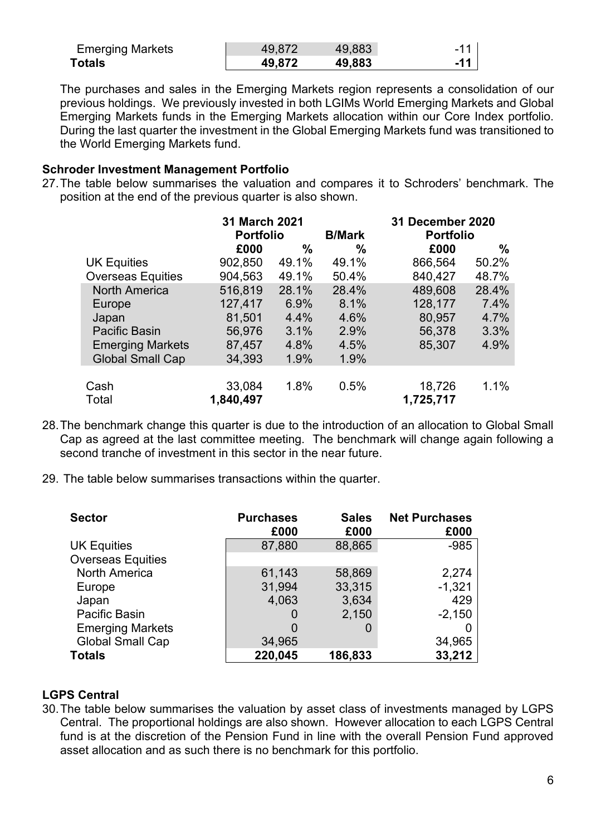| <b>Emerging Markets</b> | 49.877 | 49.883 | ۰. |
|-------------------------|--------|--------|----|
| Totals                  | 49.872 | 49,883 | 44 |

The purchases and sales in the Emerging Markets region represents a consolidation of our previous holdings. We previously invested in both LGIMs World Emerging Markets and Global Emerging Markets funds in the Emerging Markets allocation within our Core Index portfolio. During the last quarter the investment in the Global Emerging Markets fund was transitioned to the World Emerging Markets fund.

#### **Schroder Investment Management Portfolio**

27.The table below summarises the valuation and compares it to Schroders' benchmark. The position at the end of the previous quarter is also shown.

|                          | 31 March 2021<br><b>Portfolio</b> |       | <b>B/Mark</b> | 31 December 2020<br><b>Portfolio</b> |       |  |
|--------------------------|-----------------------------------|-------|---------------|--------------------------------------|-------|--|
|                          | £000                              | %     | %             | £000                                 | $\%$  |  |
| <b>UK Equities</b>       | 902,850                           | 49.1% | 49.1%         | 866,564                              | 50.2% |  |
| <b>Overseas Equities</b> | 904,563                           | 49.1% | 50.4%         | 840,427                              | 48.7% |  |
| <b>North America</b>     | 516,819                           | 28.1% | 28.4%         | 489,608                              | 28.4% |  |
| Europe                   | 127,417                           | 6.9%  | 8.1%          | 128,177                              | 7.4%  |  |
| Japan                    | 81,501                            | 4.4%  | 4.6%          | 80,957                               | 4.7%  |  |
| <b>Pacific Basin</b>     | 56,976                            | 3.1%  | 2.9%          | 56,378                               | 3.3%  |  |
| <b>Emerging Markets</b>  | 87,457                            | 4.8%  | 4.5%          | 85,307                               | 4.9%  |  |
| <b>Global Small Cap</b>  | 34,393                            | 1.9%  | 1.9%          |                                      |       |  |
|                          |                                   |       |               |                                      |       |  |
| Cash                     | 33,084                            | 1.8%  | 0.5%          | 18,726                               | 1.1%  |  |
| Total                    | 1,840,497                         |       |               | 1,725,717                            |       |  |

- 28.The benchmark change this quarter is due to the introduction of an allocation to Global Small Cap as agreed at the last committee meeting. The benchmark will change again following a second tranche of investment in this sector in the near future.
- 29. The table below summarises transactions within the quarter.

| <b>Sector</b>            | <b>Purchases</b><br>£000 | <b>Sales</b><br>£000 | <b>Net Purchases</b><br>£000 |
|--------------------------|--------------------------|----------------------|------------------------------|
| <b>UK Equities</b>       | 87,880                   | 88,865               | $-985$                       |
| <b>Overseas Equities</b> |                          |                      |                              |
| <b>North America</b>     | 61,143                   | 58,869               | 2,274                        |
| Europe                   | 31,994                   | 33,315               | $-1,321$                     |
| Japan                    | 4,063                    | 3,634                | 429                          |
| Pacific Basin            |                          | 2,150                | $-2,150$                     |
| <b>Emerging Markets</b>  |                          |                      | O                            |
| <b>Global Small Cap</b>  | 34,965                   |                      | 34,965                       |
| <b>Totals</b>            | 220,045                  | 186,833              | 33,212                       |

#### **LGPS Central**

30.The table below summarises the valuation by asset class of investments managed by LGPS Central. The proportional holdings are also shown. However allocation to each LGPS Central fund is at the discretion of the Pension Fund in line with the overall Pension Fund approved asset allocation and as such there is no benchmark for this portfolio.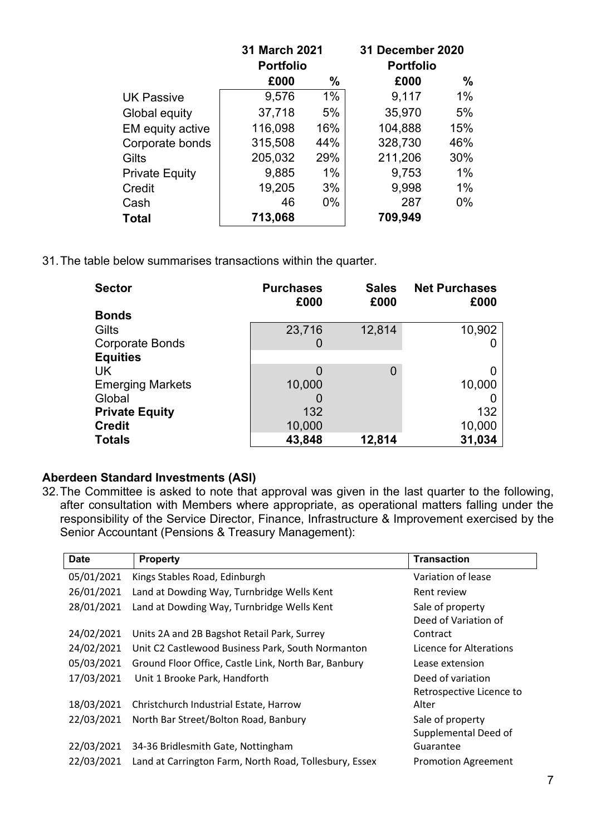|                       | 31 March 2021    |       | 31 December 2020 |       |  |  |
|-----------------------|------------------|-------|------------------|-------|--|--|
|                       | <b>Portfolio</b> |       | <b>Portfolio</b> |       |  |  |
|                       | £000             | $\%$  | £000             | $\%$  |  |  |
| <b>UK Passive</b>     | 9,576            | 1%    | 9,117            | 1%    |  |  |
| Global equity         | 37,718           | 5%    | 35,970           | 5%    |  |  |
| EM equity active      | 116,098          | 16%   | 104,888          | 15%   |  |  |
| Corporate bonds       | 315,508          | 44%   | 328,730          | 46%   |  |  |
| Gilts                 | 205,032          | 29%   | 211,206          | 30%   |  |  |
| <b>Private Equity</b> | 9,885            | 1%    | 9,753            | $1\%$ |  |  |
| Credit                | 19,205           | 3%    | 9,998            | 1%    |  |  |
| Cash                  | 46               | $0\%$ | 287              | $0\%$ |  |  |
| Total                 | 713,068          |       | 709,949          |       |  |  |

31.The table below summarises transactions within the quarter.

| <b>Sector</b>           | <b>Purchases</b><br>£000 | <b>Sales</b><br>£000 | <b>Net Purchases</b><br>£000 |
|-------------------------|--------------------------|----------------------|------------------------------|
| <b>Bonds</b>            |                          |                      |                              |
| Gilts                   | 23,716                   | 12,814               | 10,902                       |
| <b>Corporate Bonds</b>  | O                        |                      |                              |
| <b>Equities</b>         |                          |                      |                              |
| UK                      | O                        | 0                    | 0                            |
| <b>Emerging Markets</b> | 10,000                   |                      | 10,000                       |
| Global                  |                          |                      |                              |
| <b>Private Equity</b>   | 132                      |                      | 132                          |
| <b>Credit</b>           | 10,000                   |                      | 10,000                       |
| <b>Totals</b>           | 43,848                   | 12,814               | 31,034                       |

## **Aberdeen Standard Investments (ASI)**

32.The Committee is asked to note that approval was given in the last quarter to the following, after consultation with Members where appropriate, as operational matters falling under the responsibility of the Service Director, Finance, Infrastructure & Improvement exercised by the Senior Accountant (Pensions & Treasury Management):

| <b>Date</b> | <b>Property</b>                                        | <b>Transaction</b>         |
|-------------|--------------------------------------------------------|----------------------------|
| 05/01/2021  | Kings Stables Road, Edinburgh                          | Variation of lease         |
| 26/01/2021  | Land at Dowding Way, Turnbridge Wells Kent             | Rent review                |
| 28/01/2021  | Land at Dowding Way, Turnbridge Wells Kent             | Sale of property           |
|             |                                                        | Deed of Variation of       |
| 24/02/2021  | Units 2A and 2B Bagshot Retail Park, Surrey            | Contract                   |
| 24/02/2021  | Unit C2 Castlewood Business Park, South Normanton      | Licence for Alterations    |
| 05/03/2021  | Ground Floor Office, Castle Link, North Bar, Banbury   | Lease extension            |
| 17/03/2021  | Unit 1 Brooke Park, Handforth                          | Deed of variation          |
|             |                                                        | Retrospective Licence to   |
| 18/03/2021  | Christchurch Industrial Estate, Harrow                 | Alter                      |
| 22/03/2021  | North Bar Street/Bolton Road, Banbury                  | Sale of property           |
|             |                                                        | Supplemental Deed of       |
| 22/03/2021  | 34-36 Bridlesmith Gate, Nottingham                     | Guarantee                  |
| 22/03/2021  | Land at Carrington Farm, North Road, Tollesbury, Essex | <b>Promotion Agreement</b> |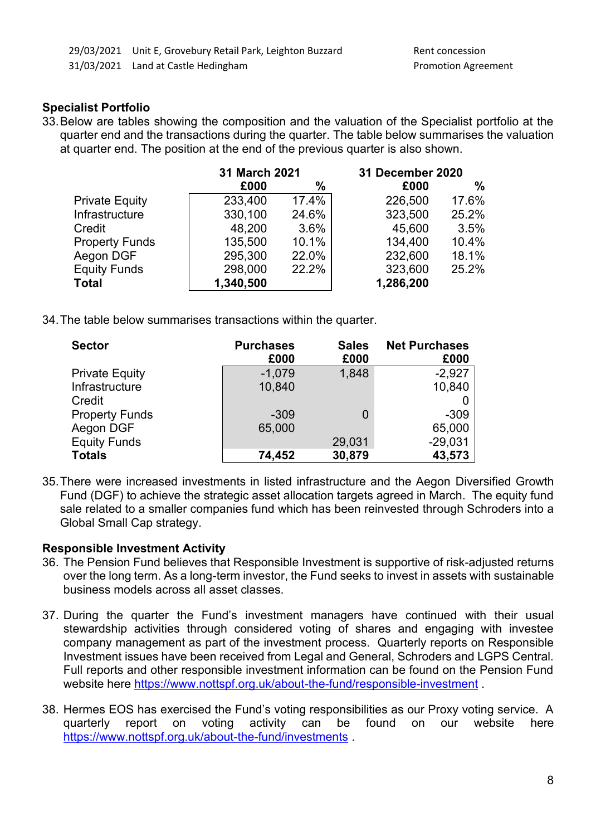## **Specialist Portfolio**

33.Below are tables showing the composition and the valuation of the Specialist portfolio at the quarter end and the transactions during the quarter. The table below summarises the valuation at quarter end. The position at the end of the previous quarter is also shown.

|                       | 31 March 2021 |       | 31 December 2020 |       |
|-----------------------|---------------|-------|------------------|-------|
|                       | £000          | $\%$  | £000             | $\%$  |
| <b>Private Equity</b> | 233,400       | 17.4% | 226,500          | 17.6% |
| Infrastructure        | 330,100       | 24.6% | 323,500          | 25.2% |
| Credit                | 48,200        | 3.6%  | 45,600           | 3.5%  |
| <b>Property Funds</b> | 135,500       | 10.1% | 134,400          | 10.4% |
| Aegon DGF             | 295,300       | 22.0% | 232,600          | 18.1% |
| <b>Equity Funds</b>   | 298,000       | 22.2% | 323,600          | 25.2% |
| <b>Total</b>          | 1,340,500     |       | 1,286,200        |       |

34.The table below summarises transactions within the quarter.

| <b>Sector</b>         | <b>Purchases</b> | <b>Sales</b> | <b>Net Purchases</b> |
|-----------------------|------------------|--------------|----------------------|
|                       | £000             | £000         | £000                 |
| <b>Private Equity</b> | $-1,079$         | 1,848        | $-2,927$             |
| Infrastructure        | 10,840           |              | 10,840               |
| Credit                |                  |              |                      |
| <b>Property Funds</b> | $-309$           | 0            | $-309$               |
| Aegon DGF             | 65,000           |              | 65,000               |
| <b>Equity Funds</b>   |                  | 29,031       | $-29,031$            |
| <b>Totals</b>         | 74,452           | 30,879       | 43,573               |

35.There were increased investments in listed infrastructure and the Aegon Diversified Growth Fund (DGF) to achieve the strategic asset allocation targets agreed in March. The equity fund sale related to a smaller companies fund which has been reinvested through Schroders into a Global Small Cap strategy.

## **Responsible Investment Activity**

- 36. The Pension Fund believes that Responsible Investment is supportive of risk-adjusted returns over the long term. As a long-term investor, the Fund seeks to invest in assets with sustainable business models across all asset classes.
- 37. During the quarter the Fund's investment managers have continued with their usual stewardship activities through considered voting of shares and engaging with investee company management as part of the investment process. Quarterly reports on Responsible Investment issues have been received from Legal and General, Schroders and LGPS Central. Full reports and other responsible investment information can be found on the Pension Fund website here<https://www.nottspf.org.uk/about-the-fund/responsible-investment>.
- 38. Hermes EOS has exercised the Fund's voting responsibilities as our Proxy voting service. A quarterly report on voting activity can be found on our website here <https://www.nottspf.org.uk/about-the-fund/investments> .